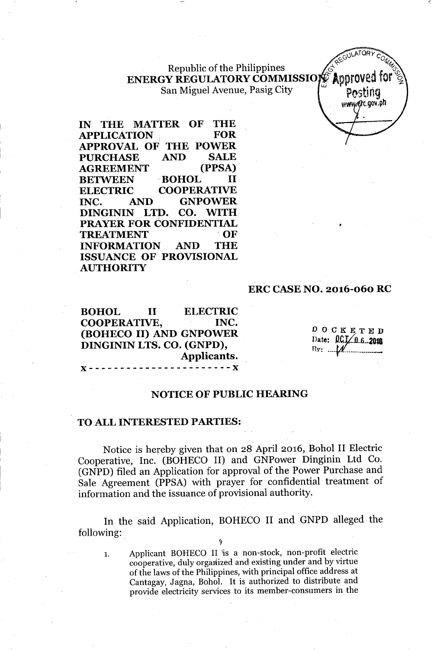Republic of the Philippines ENERGY REGULATORY COMMISSION Approved San Miguel Avenue, Pasig City

**IN THE MATTER OF THE APPLICATION FOR APPROVAL OF THE POWER PURCHASE AND SALE AGREEMENT (PPSA) . BETWEEN .BOHOL II ELECTRIC COOPERATIVE INC. AND GNPOWER DINGININ LTD.** <sup>I</sup> CO. WITH **PRAYER FOR CONFIDENTIAL TREATMENT OF INFORMATION AND THE ISSUANCE OF PROVISIONAL AUTHORITY**

### **ERC CASE NO. 2016-060 RC**

**BOHOL II ELECTRIC COOPERATIVE, INC. (BOHECO II) AND GNPOWER DINGININ LTS. CO. (GNPD), Applicants.**  $\overline{\mathbf{x}}$ 

 ${\bf x}$  -------------------

DOCKETED Date:  $0$ CI $/0.6.2048$ I3v: *-¥1f. --., -*

•

Posting www.erc.gov.ph

### **NOTICE OF PUBLIC HEARING**

### **TO ALL INTERESTED PARTIES:**

Notice is hereby given that on 28 April 2016, Bohol II Electric Cooperative, Inc. (BOHECO II) and GNPower Dinginin Ltd Co. (GNPD) filed an Application for approval of the Power Purchase and Sale Agreement (PPSA) with prayer for confidential treatment of information and the issuance of provisional authority.

In the said Application, BOHECO II and GNPD alleged the following:

't

1. Applicant BOHECO II is a non-stock, non-profit electric cooperative, duly organized and existing under and by virtue of the laws of the Philippines, with principal office address at Cantagay, Jagna, Bohol. It is authorized to distribute and provide electricity services to its member-consumers in the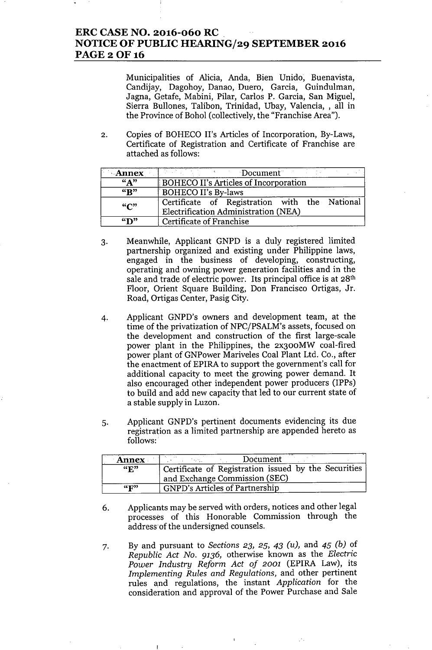## **ERC CASE NO. 2016-060 RC NOTICE OF PUBLIC HEARING/29 SEPTEMBER 2016 PAGE20F16**

Municipalities of Alicia, Anda, Bien Unido, Buenavista, Candijay, Dagohoy, Danao, Duero, Garcia, Guindulman, Jagna, Getafe, Mabini, Pilar, Carlos P. Garcia, San Miguel, Sierra Bullones, Talibon, Trinidad, Ubay, Valencia, , all in the Province of Bohol (collectively, the "Franchise Area").

2. Copies of BOHECO II's Articles of Incorporation, By-Laws, Certificate of Registration and Certificate of Franchise are attached as follows:

| <b>Annex</b>   | Document                                                                              |
|----------------|---------------------------------------------------------------------------------------|
| $\overline{N}$ | <b>BOHECO II's Articles of Incorporation</b>                                          |
| $\overline{R}$ | BOHECO II's By-laws                                                                   |
| ``C"           | Certificate of Registration with the National<br>Electrification Administration (NEA) |
| $\mathbf{m}$   | Certificate of Franchise                                                              |

- 3. Meanwhile, Applicant GNPD is a duly registered limited partnership organized and existing under Philippine laws, engaged in the business of developing, constructing, operating and owning power generation facilities and in the sale and trade of electric power. Its principal office is at 28<sup>th</sup> Floor, Orient Square Building, Don Francisco Ortigas, Jr. Road, Ortigas Center, Pasig City.
- 4. Applicant GNPD's owners and development team, at the time of the privatization of NPC/PSALM's assets, focused on the development and construction of the first large-scale power plant in the Philippines, the 2x300MW coal-fired power plant of GNPower Mariveles Coal Plant Ltd. Co., after the enactment of EPIRA to support the government's call for additional capacity to meet the growing power demand. It also encouraged other independent power producers (IPPs) to build and add new capacity that led to our current state of a stable supply in Luzon.
- 5. Applicant GNPD's pertinent documents evidencing its due registration as a limited partnership are appended hereto as follows:

| <b>Annex</b>                            | Document                                                                              |
|-----------------------------------------|---------------------------------------------------------------------------------------|
| $\mathbf{G}$ $\mathbf{R}$ <sup>33</sup> | Certificate of Registration issued by the Securities<br>and Exchange Commission (SEC) |
| $\mathbf{G}(\mathbf{F})$                | <b>GNPD's Articles of Partnership</b>                                                 |

- 6. Applicants may be served with orders, notices and other legal processes of this Honorable Commission through the address of the undersigned counsels.
- 7. By and pursuant to *Sections* 23, 25, 43 *(u),* and 45 *(b)* of *Republic Act No.* 9136, otherwise known as the *Electric Power Industry Reform Act of 2001* (EPIRA Law), its *Implementing Rules and Regulations,* and other pertinent rules and regulations, the instant *Application* for the consideration and approval of the Power Purchase and Sale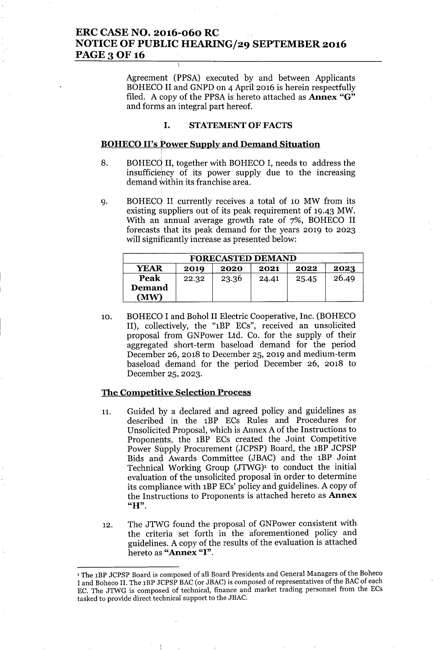# **ERC CASE NO.** 2016-060 **RC NOTICE OF PUBLIC HEARING/29 SEPTEMBER 2016** PAGE 3 OF 16

Agreement (PPSA) executed by and between Applicants BOHECO II and GNPD on 4 April 2016 is herein respectfully filed. A copy of the PPSA is hereto attached as **Annex** "G" and forms an integral part hereof.

### **I. STATEMENTOF FACTS**

### **BOHECOII's Power Supply and Demand Situation** ,

- 8. BOHECd **II,** together with BOHECO **I,** needs to address the insufficiehcy of its power supply due to the increasing demand within its franchise area.
- 9. BOHECQ II currently receives a total of 10 MW from its existing suppliers out of its peak requirement of 19.43 MW. With an' annual average growth rate of 7%, BOHECO II forecasts that its peak demand for the years 2019 to 2023 will significantly increase as presented below:

| <b>FORECASTED DEMAND</b>                            |       |       |       |       |       |
|-----------------------------------------------------|-------|-------|-------|-------|-------|
| <b>YEAR</b><br>2023<br>2022<br>2021<br>2020<br>2019 |       |       |       |       |       |
| Peak                                                | 22.32 | 23.36 | 24.41 | 25.45 | 26.49 |
| Demand<br>(MW)                                      |       |       |       |       |       |

10. BOHECO I and Bohol II Electric Cooperative, Inc. (BOHECO II), collectively, the "1BP ECs", received an unsolicited proposal from GNPower Ltd. Co. for the supply of their aggregated short-term baseload demand for the period December 26, 2018 to December 25, 2019 and medium-term baseload demand for the period December 26, 2018 to December 25, 2023.

### **The Competitive Selection Process**

- 11. Guided by a declared and agreed policy and guidelines as described in the 1BP ECs Rules and Procedures for Unsolicited Proposal, which is Annex A of the Instructions to Proponehts, the 1BP ECs created the Joint Competitive Power Supply Procurement (JCPSP) Board, the 1BP JCPSP Bids and Awards Committee (JBAC) and the 1BP Joint Technical Working Group  $(JTWG)^1$  to conduct the initial evaluation of the unsolicited proposal in order to determine its compliance with 1BPECs' policy and guidelines. A copy of the Instructions to Proponents is attached hereto as **Annex** "H".
- 12. The JTWG found the proposal of GNPower consistent with the criteria set forth in the aforementioned policy and guidelines. A copy of the results of the evaluation is attached hereto as **"Annex** "I".

<sup>1</sup> The IBP JCPSP Board is composed of all Board Presidents and General Managers of the Boheco I and Boheco II. The 1BP JCPSP BAC (or JBAC) is composed of representatives of the BAC of each EC. The JTWG is composed of technical, finance and market trading personnel from the ECs tasked to provide direct technical support to the JBAC.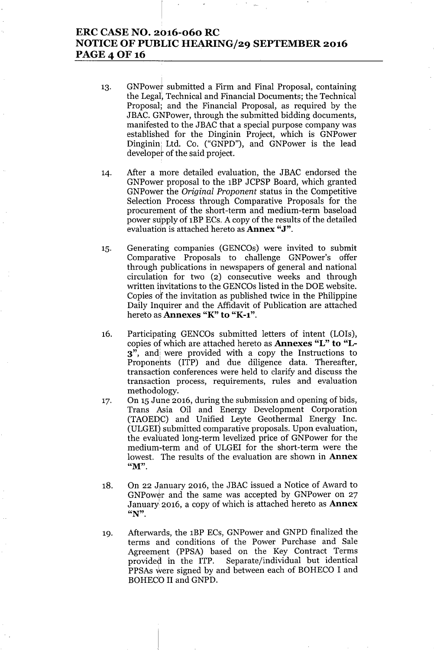## ERC CASE NO. 2016-060 RC NOTICE OF PUBLIC HEARING/29 SEPTEMBER 2016 PAGE 4 OF 16

- 13. GNPowet submitted a Firm and Final Proposal, containing the Legal, Technical and Financial Documents; the Technical Proposal; and the Financial Proposal, as required by the JBAC. GNPower, through the submitted bidding documents, manifested to the JBAC that a special purpose company was established for the Dinginin Project, which is GNPower Dinginin<sub>|</sub> Ltd. Co. ("GNPD"), and GNPower is the lead developer of the said project.
- 14. After a more detailed evaluation, the JBAC endorsed the GNPower proposal to the 1BP JCPSP Board, which granted GNPower the *Original Proponent* status in the Competitive Selection Process through Comparative Proposals for the procurement of the short-term and medium-term baseload power supply of 1BP ECs. A copy of the results of the detailed evaluation is attached hereto as **Annex "J"**.
- 15. Generating companies (GENCOs) were invited to submit Comparative Proposals to challenge GNPower's offer through publications in newspapers of general and national  $circulation$  for two  $(2)$  consecutive weeks and through written ihvitations to the GENCOs listed in the DOE website. Copies of the invitation as published twice in the Philippine Daily Inquirer and the Affidavit of Publication are attached hereto as Annexes "K" to "K-1".
- 16. Participating GENCOs submitted letters of intent (LOIs), copies of which are attached hereto as Annexes "L" to "L-3", and; were provided with a copy the Instructions to Proponehts (ITP) and due diligence data. Thereafter, transaction conferences were held to clarify and discuss the transaction process, requirements, rules and evaluation methodology.
- 17. On 15 June 2016, during the submission and opening of bids, Trans Asia Oil and Energy Development Corporation (TAOEDC) and Unified Leyte Geothermal Energy Inc. (ULGEI) submitted comparative proposals. Upon evaluation, the evaluated long-term levelized price of GNPower for the medium-term and of ULGEI for the short-term were the lowest. The results of the evaluation are shown in **Annex** " $M"$ .
- 18. On 22 January 2016, the JBAC issued a Notice of Award to GNPower and the same was accepted by GNPower on 27 January 2016, a copy of which is attached hereto as **Annex** "N".
- 19. Afterwards, the 1BP ECs, GNPower and GNPD finalized the terms and conditions of the Power Purchase and Sale Agreement (PPSA) based on the Key Contract Terms provided in the ITP. Separate/individual but identical PPSAs were signed by and between each of BOHECO I and BOHECO II and GNPD.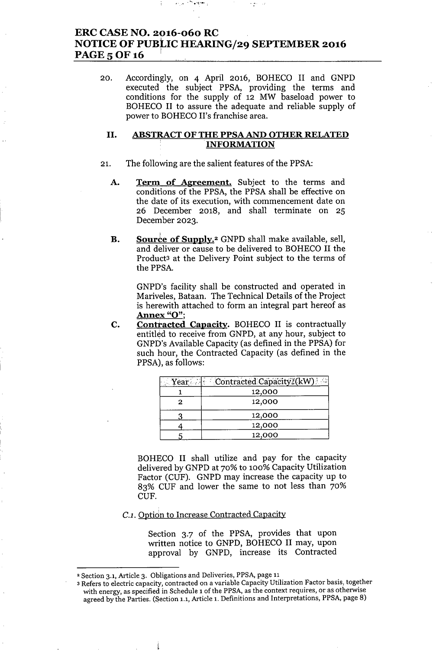# ERC CASE NO. 2016-060 RC NOTICE OF PUBLIC HEARING/29 SEPTEMBER 2016 PAGE 5 OF 16

"" ...•..••.1...•.:

20. Accordingly, on 4 April 2016, BOHECO II and GNPD executed the subject PPSA, providing the terms and conditions for the supply of 12 MW baseload power to BOHECO II to assure the adequate and reliable supply of power to BOHECO II's franchise area.

### II. ABSTRACT OF THE PPSA AND OTHER RELATED INFORMATION

- 21. The following are the salient features of the PPSA:
	- A. Term of Agreement. Subject to the terms and conditions of the PPSA, the PPSA shall be effective on the date of its execution, with commencement date on 26 December 2018, and shall terminate on 25 December 2023.
	- **B.** Source of Supply.<sup>2</sup> GNPD shall make available, sell, and deliver or cause to be delivered to BOHECO II the Product3 at the Delivery Point subject to the terms of the PPSA.

GNPD's facility shall be constructed and operated in Mariveles, Bataan. The Technical Details of the Project is herewith attached to form an integral part hereof as Annex "O";

C. Contracted Capacity. BOHECO II is contractually entitled to receive from GNPD, at any hour, subject to GNPD's Available Capacity (as defined in the PPSA) for such hour, the Contracted Capacity (as defined in the PPSA), as follows:

|   | Year Contracted Capacity (kW) |
|---|-------------------------------|
|   | 12,000                        |
| 2 | 12,000                        |
|   | 12,000                        |
|   | 12,000                        |
|   | 12,000                        |

BOHECO II shall utilize and pay for the capacity delivered by GNPD at 70% to 100% Capacity Utilization Factor (CUF). GNPD may increase the capacity up to 83% CUF and lower the same to not less than 70% CUF.

*C.l.* Option to Increase Contracted Capacity

Section 3.7 of the PPSA, provides that upon written notice to GNPD, BOHECO II may, upon approval by GNPD, increase its Contracted

<sup>2</sup> Section 3.1, Article 3. Obligations and Deliveries, PPSA, page 11

<sup>3</sup> Refers to electric capacity, contracted on a variable Capacity Utilization Factor basis, together with energy, as specified in Schedule 1 of the PPSA, as the context requires, or as otherwise agreed by the Parties. (Section 1.1, Article 1. Definitions and Interpretations, PPSA, page 8)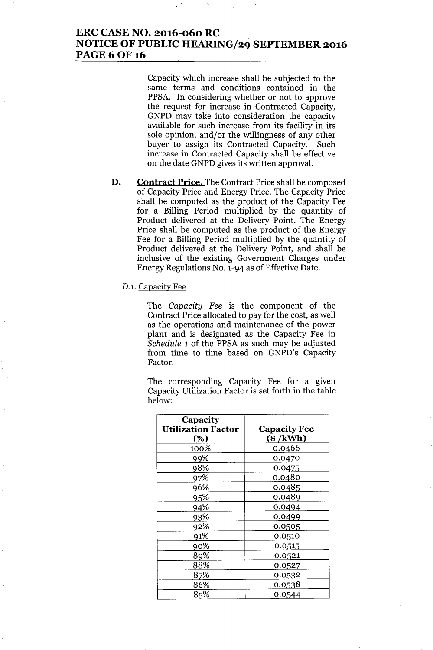# **ERC CASE NO. 2016-060 RC NOTICE OF PUBLIC HEARING/29 SEPTEMBER 2016 PAGE60F16**

Capacity which increase shall be subjected to the same terms and conditions contained in the PPSA. In considering whether or not to approve the request for increase in Contracted Capacity, GNPD may take into consideration the capacity available for such increase from its facility in its sole opinion, and/or the willingness of any other buyer to assign its Contracted Capacity. Such increase in Contracted Capacity shall be effective on the date GNPD gives its written approval.

**D. Contract Price.** The Contract Price shall be composed of Capacity Price and Energy Price. The Capacity Price shall be computed as the product of the Capacity Fee for a Billing Period multiplied by the quantity of Product delivered at the Delivery Point. The Energy Price shall be computed as the product of the Energy Fee for a Billing Period multiplied by the quantity of Product delivered at the Delivery Point, and shall be inclusive of the existing Government Charges under Energy Regulations No. 1-94 as of Effective Date.

### *D.l.* Capacity Fee

The *Capacity Fee* is the component of the Contract Price allocated to pay for the cost, as well as the operations and maintenance of the power plant and is designated as the Capacity Fee in *Schedule 1* of the PPSA as such may be adjusted from time to time based on GNPD's Capacity Factor.

The corresponding Capacity Fee for a given Capacity Utilization Factor is set forth in the table below:

| Capacity<br><b>Utilization Factor</b><br>(%) | <b>Capacity Fee</b><br>$(\$ /kWh)$ |
|----------------------------------------------|------------------------------------|
| 100%                                         | 0.0466                             |
| 99%                                          | 0.0470                             |
| 98%                                          | 0.0475                             |
| 97%                                          | 0.0480                             |
| 96%                                          | 0.0485                             |
| 95%                                          | 0.0489                             |
| 94%                                          | 0.0494                             |
| 93%                                          | 0.0499                             |
| 92%                                          | 0.0505                             |
| 91%                                          | 0.0510                             |
| 90%                                          | 0.0515                             |
| 89%                                          | 0.0521                             |
| 88%                                          | 0.0527                             |
| 87%                                          | 0.0532                             |
| 86%                                          | 0.0538                             |
| 85%                                          | 0.0544                             |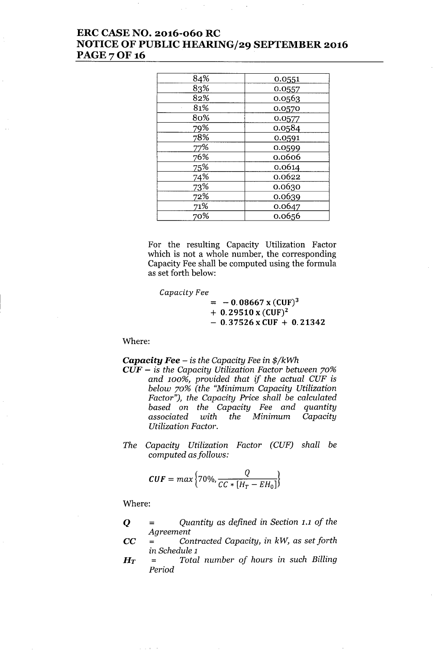# ERC CASE NO. 2016-060 RC NOTICE OF PUBLIC HEARING/29 SEPTEMBER 2016 **PAGE 7 OF 16**

| 84% | 0.0551 |
|-----|--------|
| 83% | 0.0557 |
| 82% | 0.0563 |
| 81% | 0.0570 |
| 80% | 0.0577 |
| 79% | 0.0584 |
| 78% | 0.0591 |
| 77% | 0.0599 |
| 76% | 0.0606 |
| 75% | 0.0614 |
| 74% | 0.0622 |
| 73% | 0.0630 |
| 72% | 0.0639 |
| 71% | 0.0647 |
| 70% | 0.0656 |

For the resulting Capacity Utilization Factor which is not a whole number, the corresponding Capacity Fee shall be computed using the formula as set forth below:

*Capacity Fee*  $= -0.08667$  x (CUF)<sup>3</sup>  $+ 0.29510 x (CUF)^2$  $- 0.37526$  x CUF  $+ 0.21342$ 

Where:

*Capacity Fee - is the Capacity Fee in \$/kWh*

- *CUF - is the Capacity Utilization Factor between 70% and 100%, provided that if the actual CUF is below 70% (the "Minimum Capacity Utilization Factor"), the Capacity Price shall be calculated based* on *the Capacity Fee and quantity associated with the Minimum Capacity Utilization Factor.*
- *The Capacity Utilization Factor (CUF) shall be computed asfollows:*

$$
CUF = max\Big\{70\%, \frac{Q}{CC * [H_T - EH_0]}\Big\}
$$

Where:

Q = *Quantity* as *defined in Section* 1.1 *of the Agreement*

- CC = *Contracted Capacity, in kW,* as *set forth in Schedule 1*
- *HT* = *Total number of hours in such Billing Period*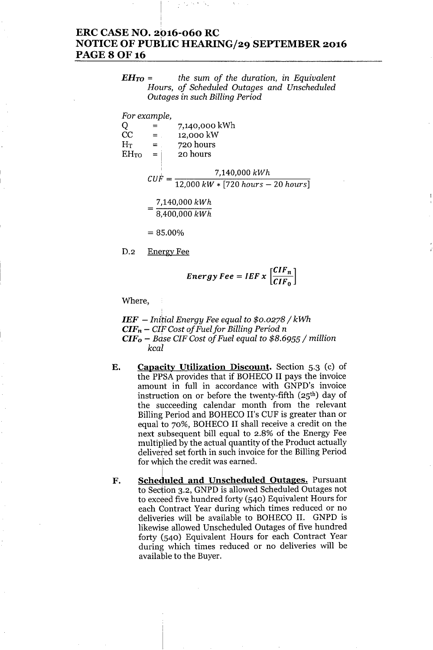# **ERC CASE NO. 2016-060 RC** NOTICE OF PUBLIC HEARING/29 SEPTEMBER 2016 **PAGE 8 OF 16**

*EHTO* = *the sum of the duration, in Equivalent Hours, of Scheduled Outages and Unscheduled Outages in such Billing Period*

|                | For example, |                                      |
|----------------|--------------|--------------------------------------|
| Q              |              | 7,140,000 kWh                        |
| $\rm CC$       | $=$ .        | 12,000 kW                            |
| $\rm H_T$      | $=$ .        | 720 hours                            |
| $\rm{EH_{TO}}$ | $=$ $\vdots$ | 20 hours                             |
|                | CUF          | 7,140,000 kWh                        |
|                |              | $12,000 kW * [720 hours - 20 hours]$ |
|                |              | 7,140,000 kWh                        |
|                |              | 8,400,000 kWh                        |
|                | $= 85.00\%$  |                                      |

D.2 Energy Fee

$$
Energy\,Fee = IEF \, x \, \left[\frac{CIF_n}{CIF_0}\right]
$$

Where,

*IEF - Initial Energy Fee equal to \$0.0278/ kWh* <sup>I</sup> *CIFn - CIF Cost of Fuelfor Billing Period* n *CIFo - Bdse CIF Cost of Fuel equal to* \$8.6955/ *million kcal*

- E. Capacity Utilization Discount. Section 5.3 (c) of the PPSA provides that if BOHECO II pays the invoice amount in full in accordance with GNPD's invoice instruction on or before the twenty-fifth (25<sup>th</sup>) day of the succeeding calendar month from the relevant Billing Period and BOHECO II's CUF is greater than or equal to 70%, BOHECO II shall receive a credit on the next subsequent bill equal to 2.8% of the Energy Fee multiplied by the actual quantity of the Product actually delivered set forth in such invoice for the Billing Period for which the credit was earned.
- F. Scheduled and Unscheduled Outages. Pursuan to Section 3.2, GNPD is allowed Scheduled Outages not to exceed five hundred forty (540) Equivalent Hours for each Contract Year during which times reduced or no deliveries will be available to BOHECO II. GNPD is likewise allowed Unscheduled Outages of five hundred forty (540) Equivalent Hours for each Contract Year during which times reduced or no deliveries will be available to the Buyer.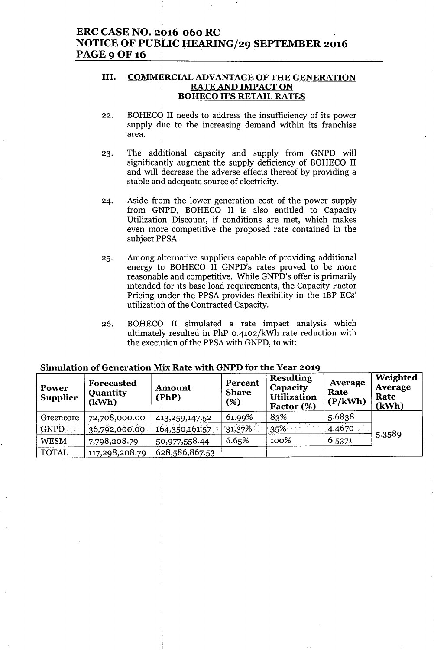# $\bf{ERC}$  CASE NO. 2016-060 RC NOTICE OF PUBLIC HEARING/29 SEPTEMBER 2016 PAGE 9 OF 16

#### III. <u>COMMERCIAL ADVANTAGE OF THE GENERATIO</u> RATE AND IMPACT ON BOHECO II'S RETAIL RATES

- 22. BOHECO II needs to address the insufficiency of its power supply due to the increasing demand within its franchise area.
- 23. The additional capacity and supply from GNPD will significantly augment the supply deficiency of BOHECO II and will decrease the adverse effects thereof by providing a stable and adequate source of electricity.
- 24. Aside from the lower generation cost of the power supply from GNPD, BOHECO II is also entitled to Capacity Utilization Discount, if conditions are met, which makes even *mote* competitive the proposed rate contained in the subject PPSA.
- 25. Among alternative suppliers capable of providing additional energy to BOHECO II GNPD's rates proved to be more reasonable and competitive. While GNPD's offer is primarily intended for its base load requirements, the Capacity Factor Pricing under the PPSA provides flexibility in the 1BP ECs' utilizatioh of the Contracted Capacity.
- 26. BOHECO II simulated a rate impact analysis which ultimately resulted in PhP 0-4102/kWh rate reduction with the execution of the PPSA with GNPD, to wit:

| Power<br><b>Supplier</b> | Forecasted<br>Quantity<br>(kWh) | <b>Amount</b><br>(PhP) | Percent<br><b>Share</b><br>(%) | <b>Resulting</b><br>Capacity<br><b>Utilization</b><br>Factor (%) | Average<br>Rate<br>(P/kWh) | Weighted<br>Average<br>Rate<br>(kWh) |
|--------------------------|---------------------------------|------------------------|--------------------------------|------------------------------------------------------------------|----------------------------|--------------------------------------|
| Greencore                | 72,708,000.00                   | 413,259,147.52         | 61.99%                         | 83%                                                              | 5.6838                     |                                      |
| GNPD 3                   | 36,792,000.00                   | 164,350,161.57         | $31.37\%$                      | 35%                                                              | 4.4670                     | 5.3589                               |
| <b>WESM</b>              | 7,798,208.79                    | 50,977,558.44          | 6.65%                          | 100%                                                             | 6.5371                     |                                      |
| <b>TOTAL</b>             | 117,298,208.79                  | 628,586,867.53         |                                |                                                                  |                            |                                      |

### Simulation of Generation Mix, Rate with GNPD for the Year 2019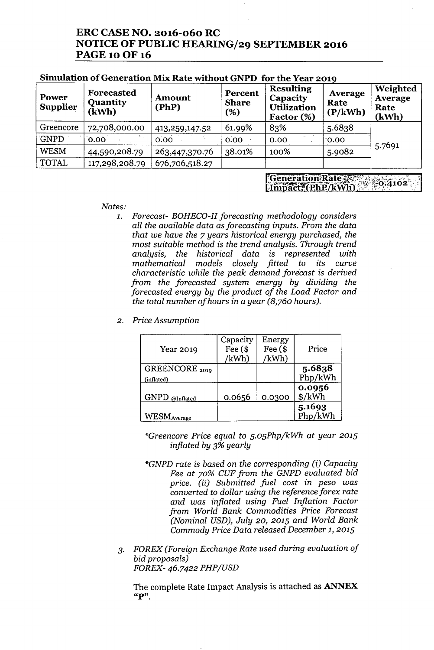# **ERC CASE NO. 2016-060 RC NOTICE OF PUBLIC HEARING/29 SEPTEMBER 2016** PAGE 10 OF 16

| Power<br><b>Supplier</b> | Forecasted<br><b>Quantity</b><br>(kWh) | Amount<br>(PhP) | Percent<br><b>Share</b><br>(%) | <b>Resulting</b><br>Capacity<br><b>Utilization</b><br>Factor (%) | Average<br>Rate<br>(P/kWh) | Weighted<br>Average<br>Rate<br>(kWh) |
|--------------------------|----------------------------------------|-----------------|--------------------------------|------------------------------------------------------------------|----------------------------|--------------------------------------|
| Greencore                | 72,708,000.00                          | 413,259,147.52  | 61.99%                         | 83%                                                              | 5.6838                     |                                      |
| <b>GNPD</b>              | 0.00                                   | 0.00            | 0.00                           | 0.00                                                             | 0.00                       |                                      |
| <b>WESM</b>              | 44,590,208.79                          | 263,447,370.76  | 38.01%                         | 100%                                                             | 5.9082                     | 5.7691                               |
| <b>TOTAL</b>             | 117,298,208.79                         | 676,706,518.27  |                                |                                                                  |                            |                                      |

### **Simulation of Generation Mix Rate without GNPD for the Year 2019**

*Notes:*

- *1. Forecast- BOHECO-II forecasting methodology considers all the available data* as*forecasting inputs. From the data that we have the* 7 *years historical energy purchased, the most suitable method* is *the trend analysis. Through trend analysis, the historical data* is *represented with mathematical models closely fitted to its curve characteristic while the peak demand forecast* is *derived from the forecasted system energy by dividing the forecasted energy by the product of the Load Factor and the total number of hours* in a *year (8,760 hours).*
- *2. Price Assumption*

| Year 2019                               | Capacity<br>Fee $($$<br>/kWh) | Energy<br>Fee $($$<br>/kWh) | Price             |
|-----------------------------------------|-------------------------------|-----------------------------|-------------------|
| GREENCORE <sub>2019</sub><br>(inflated) |                               |                             | 5.6838<br>Php/kWh |
| GNPD @Inflated                          | 0.0656                        | 0.0300                      | 0.0956<br>\$/kWh  |
| <b>WESMAverage</b>                      |                               |                             | 5.1693<br>Php/kWh |

*\*Greencore Price equal to 5.05Php/kWh at year 2015 inflated by* 3% *yearly*

- *\*GNPD rate* is *based* on *the corresponding (i) Capacity Fee at 70% CUF from the GNPD evaluated bid price.* (ii) *Submitted fuel cost* in *peso was converted to dollar using the reference forex rate and was inflated using Fuel Inflation Factor from World Bank Commodities Price Forecast (Nominal USD), July 20,2015 and World Bank Commody Price Data released December* 1, *2015*
- *3. FOREX (Foreign Exchange Rate used during evaluation of bid proposals) FOREX-* 46.7422 *PHP/USD*

The complete Rate Impact Analysis is attached as **ANNEX**  $"P".$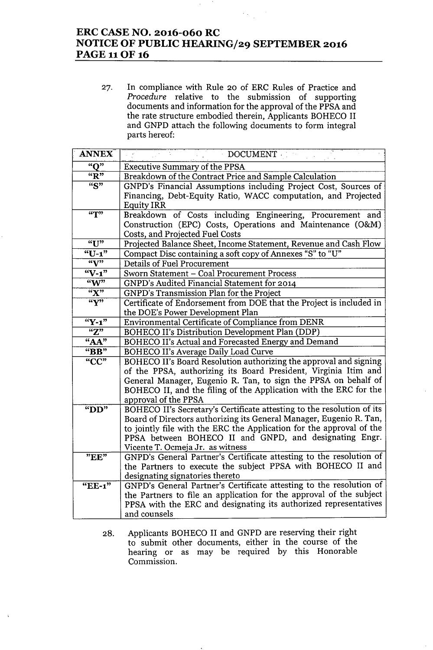# **ERC CASE NO. 2016-060 RC NOTICE OF PUBLIC HEARING/29 SEPTEMBER 2016 PAGE 11 OF 16**

27. In compliance with Rule 20 of ERC Rules of Practice and *Procedure* relative to the submission of supporting documents and information for the approval of the PPSA and the rate structure embodied therein, Applicants BOHECO II and GNPD attach the following documents to form integral parts hereof:

| <b>ANNEX</b>       | DOCUMENT                                                                                                                                      |
|--------------------|-----------------------------------------------------------------------------------------------------------------------------------------------|
| "O"                | <b>Executive Summary of the PPSA</b>                                                                                                          |
| "R"                | Breakdown of the Contract Price and Sample Calculation                                                                                        |
| $\overline{``S"}$  | GNPD's Financial Assumptions including Project Cost, Sources of                                                                               |
|                    | Financing, Debt-Equity Ratio, WACC computation, and Projected                                                                                 |
|                    | <b>Equity IRR</b>                                                                                                                             |
| $\overline{r}$     | Breakdown of Costs including Engineering, Procurement and                                                                                     |
|                    | Construction (EPC) Costs, Operations and Maintenance (O&M)                                                                                    |
|                    | Costs, and Projected Fuel Costs                                                                                                               |
| "U"                | Projected Balance Sheet, Income Statement, Revenue and Cash Flow                                                                              |
| " $U-1$ "          | Compact Disc containing a soft copy of Annexes "S" to "U"                                                                                     |
| $\sqrt[6]{y^2}$    | Details of Fuel Procurement                                                                                                                   |
| $\overline{N-1}$   | Sworn Statement - Coal Procurement Process                                                                                                    |
| $\sqrt[4]{w^2}$    | GNPD's Audited Financial Statement for 2014                                                                                                   |
| $\overline{K''}$   | GNPD's Transmission Plan for the Project                                                                                                      |
| $\overline{``Y"'}$ | Certificate of Endorsement from DOE that the Project is included in                                                                           |
|                    | the DOE's Power Development Plan                                                                                                              |
| $``Y-1"$           | Environmental Certificate of Compliance from DENR                                                                                             |
| $\overline{Z''}$   | BOHECO II's Distribution Development Plan (DDP)                                                                                               |
| "AA"               | BOHECO II's Actual and Forecasted Energy and Demand                                                                                           |
| " $BB"$            | <b>BOHECO II's Average Daily Load Curve</b>                                                                                                   |
| "CC"               | BOHECO II's Board Resolution authorizing the approval and signing                                                                             |
|                    | of the PPSA, authorizing its Board President, Virginia Itim and                                                                               |
|                    | General Manager, Eugenio R. Tan, to sign the PPSA on behalf of                                                                                |
|                    | BOHECO II, and the filing of the Application with the ERC for the                                                                             |
|                    | approval of the PPSA                                                                                                                          |
| " $DD"$            | BOHECO II's Secretary's Certificate attesting to the resolution of its<br>Board of Directors authorizing its General Manager, Eugenio R. Tan, |
|                    | to jointly file with the ERC the Application for the approval of the                                                                          |
|                    | PPSA between BOHECO II and GNPD, and designating Engr.                                                                                        |
|                    | Vicente T. Ocmeja Jr. as witness                                                                                                              |
| $\overline{P}EE$ " | GNPD's General Partner's Certificate attesting to the resolution of                                                                           |
|                    | the Partners to execute the subject PPSA with BOHECO II and                                                                                   |
|                    | designating signatories thereto                                                                                                               |
| "EE-1"             | GNPD's General Partner's Certificate attesting to the resolution of                                                                           |
|                    | the Partners to file an application for the approval of the subject                                                                           |
|                    | PPSA with the ERC and designating its authorized representatives                                                                              |
|                    | and counsels                                                                                                                                  |

28. Applicants BOHECO II and GNPD are reserving their right to submit other documents, either in the course of the hearing or as may be required by this Honorable Commission.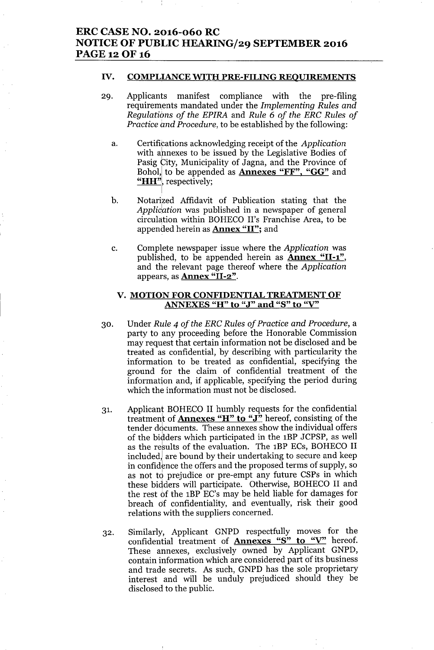### ERC CASE NO. 2016-060 RC NOTICE OF PUBLIC HEARING/29 SEPTEMBER 2016 PAGE 12 OF 16

### IV. COMPLIANCE WITH PRE-FILING REOUIREMENTS

- 29. Applicants manifest compliance with the pre-filing requirements mandated under the *Implementing Rules and Regulations of the EPIRA* and *Rule* 6 *of the ERC Rules of Practice and Procedure,* to be established by the following:
	- a. Certifications acknowledging receipt of the *Application* with ahnexes to be issued by the Legislative Bodies of Pasig City, Municipality of Jagna, and the Province of Bohol, to be appended as **Annexes** "FF", "GG" and "HH", respectively;
	- b. Notarized Affidavit of Publication stating that the *Applidation* was published in a newspaper of general circulation within BOHECO II's Franchise Area, to be appended herein as Annex "II"; and
	- c. Complete newspaper issue where the *Application* was published, to be appended herein as  $\text{Annex}$  "II-1", and the relevant page thereof where the *Application* appears, as **Annex "II-2"**.

### V. MOTION FOR CONFIDENTIAL TREATMENT OF ANNEXES "H" to "J" and "S" to "V"

- 30. Under *Rule* 4 *of the ERC Rules of Practice and Procedure,* a party to any proceeding before the Honorable Commission may request that certain information not be disclosed and be treated as confidential, by describing with particularity the information to be treated as confidential, specifying the ground for the claim of confidential treatment of the information and, if applicable, specifying the period during which the information must not be disclosed.
- 31. Applicant BOHECO II humbly requests for the confidential treatment of Annexes "H" to "J" hereof, consisting of the tender documents. These annexes show the individual offers of the bidders which participated in the 1BP JCPSP, as well as the results of the evaluation. The 1BP ECs, BOHECO II included, are bound by their undertaking to secure and keep in confidence the offers and the proposed terms of supply, so as not to prejudice or pre-empt any future CSPs in which these bidders will participate. Otherwise, BOHECO II and the rest of the 1BP EC's may be held liable for damages for breach df confidentiality, and eventually, risk their good relations with the suppliers concerned.
- 32. Similarly, Applicant GNPD respectfully moves for the confidential treatment of **Annexes** "S" to "V" hereof. These annexes, exclusively owned by Applicant GNPD, contain information which are considered part of its business and trade secrets. As such, GNPD has the sole proprietary interest and will be unduly prejudiced should they be disclosed to the public.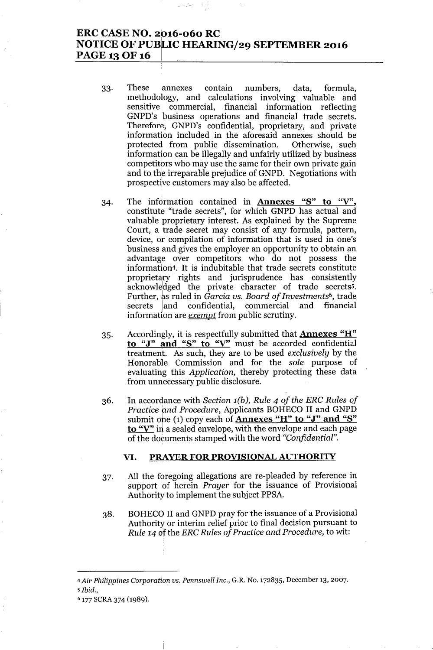## **ERC CASE NO. 2016-060 RC** <sup>I</sup> **NOTICE OF PUBLIC HEARING/29 SEPTEMBER 2016 PAGE 13 OF 16 <sup>I</sup>**

- 33. These annexes contain numbers, data, formula, methodology, and calculations involving valuable and sensitive commercial, financial information reflecting GNPD's business operations and financial trade secrets. Therefore, GNPD's confidential, proprietary, and private information included in the aforesaid annexes should be protected from public dissemination. Otherwise, such information can be illegally and unfairly utilized by business competitors who may use the same for their own private gain and to the irreparable prejudice of GNPD. Negotiations with prospective customers may also be affected.
- 34. The information contained in **Annexes** "S" **to** "V", constitute "trade secrets", for which GNPD has actual and valuable proprietary interest. As explained by the Supreme Court, a trade secret may consist of any formula, pattern, device, or compilation of information that is used in one's business and gives the employer an opportunity to obtain an advantage over competitors who do not possess the information4. It is indubitable that trade secrets constitute proprietary rights and jurisprudence has consistently acknowledged the private character of trade secrets5. Further, ks ruled in *Garcia vs. Board of Investments<sup>6</sup> ,* trade secrets land confidential, commercial and financial information are *exempt* from public scrutiny.
- 35. Accordingly, it is respectfully submitted that **Annexes** "H" **to** "J" **and** "S" **to** "V' must be accorded confidential treatment. As such, they are to be used *exclusively* by the Honorable Commission and for the *sole* purpose of evaluating this *Application,* thereby protecting these data from unnecessary public disclosure.
- 36. In accordance with *Section l(b), Rule* 4 *of the ERC Rules of Practice and Procedure,* Applicants BOHECO II and GNPD submit one (1) copy each of **Annexes** "H" to "J" and "S" to "V" in a sealed envelope, with the envelope and each page of the documents stamped with the word *"Confidential".*

### **VI. PRAYER FOR PROVISIONAL AUTHORITY**

- 37. All the foregoing allegations are re-pleaded by reference in support of herein *Prayer* for the issuance of Provisional Authority to implement the subject PPSA.
- 38. BOHECO II and GNPD pray for the issuance of a Provisional Authority or interim relief prior to final decision pursuant to *Rule* 14 of the *ERC Rules* of *Practice* and *Procedure*, to wit:

*<sup>4</sup> Air Philippines Corporation vs. Pennswell Inc.,* G.R. No. 172835, December 13, 2007. *<sup>5</sup> Ibid.,*

<sup>&</sup>lt;sup>6</sup> 177 SCRA 374 (1989).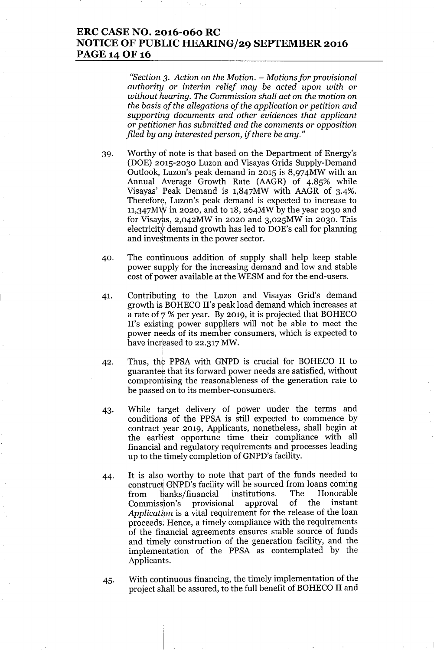# **ERC CASE NO. 2016-060 RC NOTICE OF PUBLIC HEARING/29 SEPTEMBER 2016** PAGE 14 OF 16

*"Section*13. *Action* on *the Motion. - Motionsfor provisional authoritg or interim relief may be acted upon with or without hearing. The Commission shall act* on *the motion* on *the basis*<sup>I</sup> *of the allegations of the application or petition and supporting documents and other evidences that applicant. or petitioner has submitted and the comments or opposition filed by any interested person, if there be any."*

- 39. Worthy of note is that based on the Department of Energy's (DOE) 2015-2030 Luzon and Visayas Grids Supply-Demand Outlook, Luzon's peak demand in 2015 is 8,974MW with an Annual Average Growth Rate (AAGR) of 4.85% while Visayas' Peak Demand is 1,847MW with AAGR of 3-4%. Therefore, Luzon's peak demand is expected to increase to 11,347MW in 2020, and to 18, 264MW by the year 2030 and for Visayas, 2,042MW in 2020 and 3,025MW in 2030. This electricity demand growth has led to DOE's call for planning and investments in the power sector.
- 40. The continuous addition of supply shall help keep stable power supply for the increasing demand and low and stable cost of power available at the WESM and for the end-users.
- 41. Contributing to the Luzon and Visayas Grid's demand growth is BOHECO II's peak load demand which increases at a rate of 7 % per year. By 2019, it is projected that BOHECO II's existing power suppliers will not be able to meet the power needs of its member consumers, which is expected to have increased to 22.317 MW.
- 42. Thus, the PPSA with GNPD is crucial for BOHECO II to guarantee that its forward power needs are satisfied, without compromising the reasonableness of the generation rate to be passed on to its member-consumers.
- 43. While target delivery of power under the terms and conditions of the PPSA is still expected to commence by contract year 2019, Applicants, nonetheless, shall begin at the earliest opportune time their compliance with all financial and regulatory requirements and processes leading up to the timely completion of GNPD's facility.
- 44. It is also worthy to note that part of the funds needed to construct GNPD's facility will be sourced from loans coming<br>from banks/financial institutions. The Honorable from lianks/financial institutions. The Honorable Commiss:ion's provisional approval of the instant *Application* is a vital requirement for the release of the loan proceeds; Hence, a timely compliance with the requirements of the financial agreements ensures stable source of funds and timely construction of the generation facility, and the implementation of the PPSA as contemplated by the Applicants.
- 45. With continuous financing, the timely implementation of the project shall be assured, to the full benefit of BOHECO II and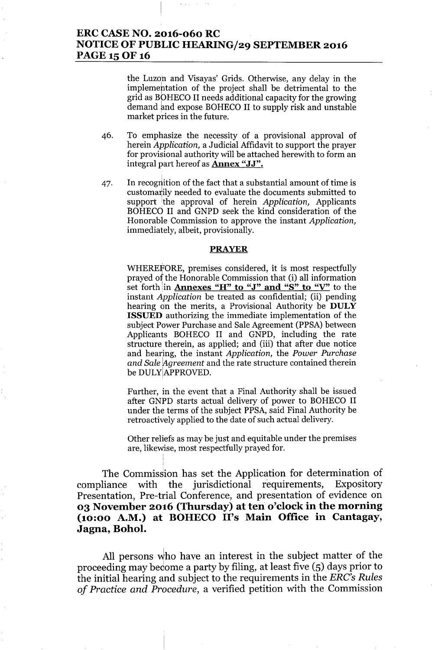# ERC CASENO. 2016-060 RC NOTICE OF PUBLIC HEARING/29 SEPTEMBER 2016 PAGE 15 OF 16

the Luzon and Visayas' Grids. Otherwise, any delay in the implemeptation of the project shall be detrimental to the grid as BOHECO II needs additional capacity for the growing demand and expose BOHECO II to supply risk and unstable market prices in the future.

- 46. To emphasize the necessity of a provisional approval of herein *Application,* a Judicial Mfidavit to support the prayer for provisional authority will be attached herewith to form an integral part hereof as **Annex "JJ".**
- 47. In recognition of the fact that a substantial amount of time is customarily needed to evaluate the documents submitted to support the approval of herein *Application*, Applicants BOHECO II and GNPD seek the kind consideration of the Honorable Commission to approve the instant *Application,* immediately, albeit, provisionally.

### PRAYER

WHEREfORE, premises considered, it is most respectfully prayed of the Honorable Commission that (i) all information set forth in **Annexes "H" to "J" and "S" to "V"** to the instant *Application* be treated as confidential; (ii) pending hearing on the merits, a Provisional Authority be DULY ISSUED authorizing the immediate implementation of the subject Power Purchase and Sale Agreement (PPSA) between Applicants BOHECO II and GNPD, including the rate structure therein, as applied; and (iii) that after due notice and hearing, the instant *Application,* the *Power Purchase and Sale !Agreement* and the rate structure contained therein be DULYIAPPROVED.

Further, in the event that a Final Authority shall be issued after GNPD starts actual delivery of power to BOHECO II under the terms of the subject PPSA, said Final Authority be retroactively applied to the date of such actual delivery.

Other reliefs as may be just and equitable under the premises are, likewise, most respectfully prayed for.

The Commission has set the Application for determination of compliance with the jurisdictional requirements, Expository Presentation, Pre-trial Conference, and presentation of evidence on 03 November 2016 (Thursday) at ten o'clock in the morning (10:00 A.M.) at BOHECO II's Main Office in Cantagay, Jagna, Bohol.

All persons who have an interest in the subject matter of the proceeding may become a party by filing, at least five (5) days prior to the initial hearing and subject to the requirements in the *ERC's Rules of Practice and Procedure,* a verified petition with the Commission